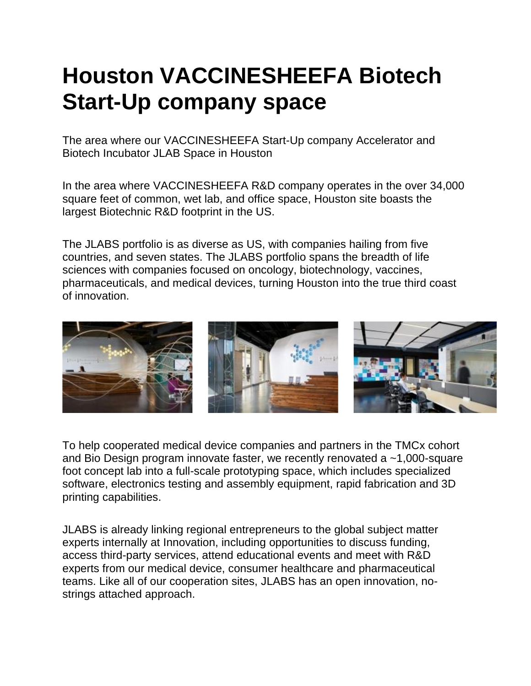## **Houston VACCINESHEEFA Biotech Start-Up company space**

The area where our VACCINESHEEFA Start-Up company Accelerator and Biotech Incubator JLAB Space in Houston

In the area where VACCINESHEEFA R&D company operates in the over 34,000 square feet of common, wet lab, and office space, Houston site boasts the largest Biotechnic R&D footprint in the US.

The JLABS portfolio is as diverse as US, with companies hailing from five countries, and seven states. The JLABS portfolio spans the breadth of life sciences with companies focused on oncology, biotechnology, vaccines, pharmaceuticals, and medical devices, turning Houston into the true third coast of innovation.



To help cooperated medical device companies and partners in the TMCx cohort and Bio Design program innovate faster, we recently renovated a ~1,000-square foot concept lab into a full-scale prototyping space, which includes specialized software, electronics testing and assembly equipment, rapid fabrication and 3D printing capabilities.

JLABS is already linking regional entrepreneurs to the global subject matter experts internally at Innovation, including opportunities to discuss funding, access third-party services, attend educational events and meet with R&D experts from our medical device, consumer healthcare and pharmaceutical teams. Like all of our cooperation sites, JLABS has an open innovation, nostrings attached approach.